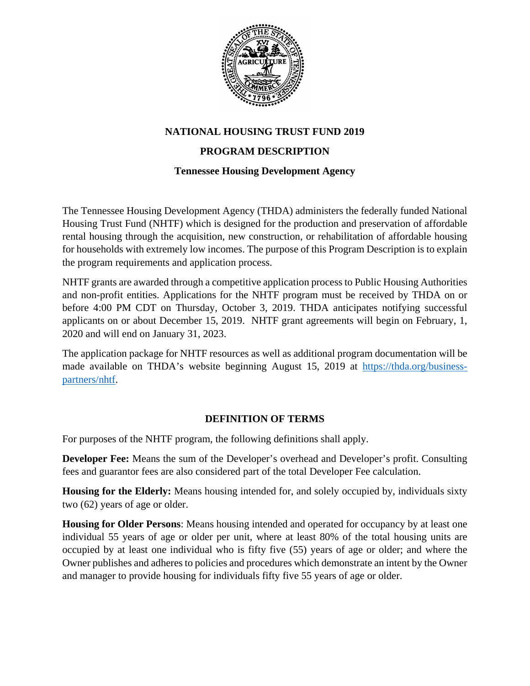

### **NATIONAL HOUSING TRUST FUND 2019**

### **PROGRAM DESCRIPTION**

#### **Tennessee Housing Development Agency**

The Tennessee Housing Development Agency (THDA) administers the federally funded National Housing Trust Fund (NHTF) which is designed for the production and preservation of affordable rental housing through the acquisition, new construction, or rehabilitation of affordable housing for households with extremely low incomes. The purpose of this Program Description is to explain the program requirements and application process.

NHTF grants are awarded through a competitive application process to Public Housing Authorities and non-profit entities. Applications for the NHTF program must be received by THDA on or before 4:00 PM CDT on Thursday, October 3, 2019. THDA anticipates notifying successful applicants on or about December 15, 2019. NHTF grant agreements will begin on February, 1, 2020 and will end on January 31, 2023.

The application package for NHTF resources as well as additional program documentation will be made available on THDA's website beginning August 15, 2019 at [https://thda.org/business](https://thda.org/business-partners/nhtf)[partners/nhtf.](https://thda.org/business-partners/nhtf)

#### **DEFINITION OF TERMS**

For purposes of the NHTF program, the following definitions shall apply.

**Developer Fee:** Means the sum of the Developer's overhead and Developer's profit. Consulting fees and guarantor fees are also considered part of the total Developer Fee calculation.

**Housing for the Elderly:** Means housing intended for, and solely occupied by, individuals sixty two (62) years of age or older.

**Housing for Older Persons**: Means housing intended and operated for occupancy by at least one individual 55 years of age or older per unit, where at least 80% of the total housing units are occupied by at least one individual who is fifty five (55) years of age or older; and where the Owner publishes and adheres to policies and procedures which demonstrate an intent by the Owner and manager to provide housing for individuals fifty five 55 years of age or older.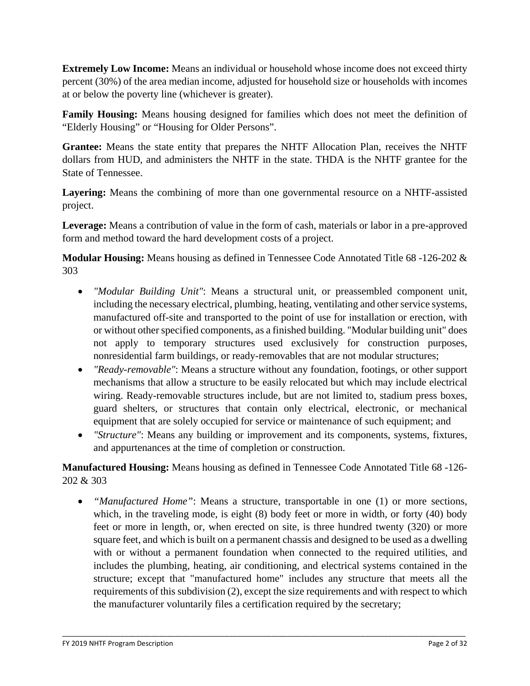**Extremely Low Income:** Means an individual or household whose income does not exceed thirty percent (30%) of the area median income, adjusted for household size or households with incomes at or below the poverty line (whichever is greater).

**Family Housing:** Means housing designed for families which does not meet the definition of "Elderly Housing" or "Housing for Older Persons".

**Grantee:** Means the state entity that prepares the NHTF Allocation Plan, receives the NHTF dollars from HUD, and administers the NHTF in the state. THDA is the NHTF grantee for the State of Tennessee.

**Layering:** Means the combining of more than one governmental resource on a NHTF-assisted project.

**Leverage:** Means a contribution of value in the form of cash, materials or labor in a pre-approved form and method toward the hard development costs of a project.

**Modular Housing:** Means housing as defined in Tennessee Code Annotated Title 68 -126-202 & 303

- *"Modular Building Unit"*: Means a structural unit, or preassembled component unit, including the necessary electrical, plumbing, heating, ventilating and other service systems, manufactured off-site and transported to the point of use for installation or erection, with or without other specified components, as a finished building. "Modular building unit" does not apply to temporary structures used exclusively for construction purposes, nonresidential farm buildings, or ready-removables that are not modular structures;
- *"Ready-removable"*: Means a structure without any foundation, footings, or other support mechanisms that allow a structure to be easily relocated but which may include electrical wiring. Ready-removable structures include, but are not limited to, stadium press boxes, guard shelters, or structures that contain only electrical, electronic, or mechanical equipment that are solely occupied for service or maintenance of such equipment; and
- *"Structure"*: Means any building or improvement and its components, systems, fixtures, and appurtenances at the time of completion or construction.

**Manufactured Housing:** Means housing as defined in Tennessee Code Annotated Title 68 -126- 202 & 303

• *"Manufactured Home"*: Means a structure, transportable in one (1) or more sections, which, in the traveling mode, is eight (8) body feet or more in width, or forty (40) body feet or more in length, or, when erected on site, is three hundred twenty (320) or more square feet, and which is built on a permanent chassis and designed to be used as a dwelling with or without a permanent foundation when connected to the required utilities, and includes the plumbing, heating, air conditioning, and electrical systems contained in the structure; except that "manufactured home" includes any structure that meets all the requirements of this subdivision (2), except the size requirements and with respect to which the manufacturer voluntarily files a certification required by the secretary;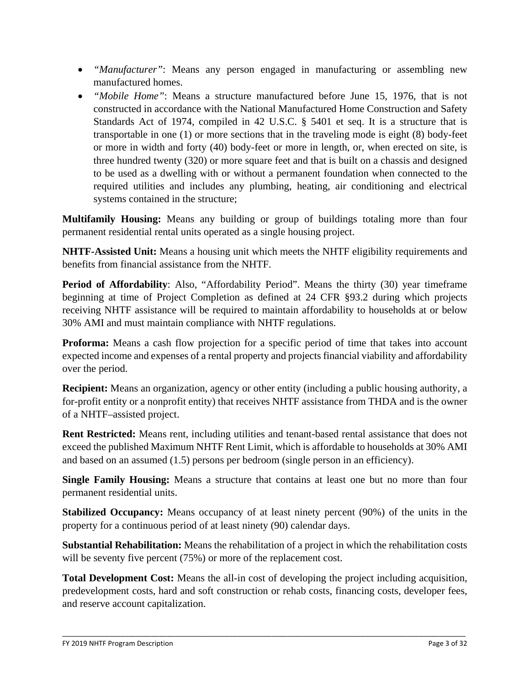- *"Manufacturer"*: Means any person engaged in manufacturing or assembling new manufactured homes.
- *"Mobile Home"*: Means a structure manufactured before June 15, 1976, that is not constructed in accordance with the National Manufactured Home Construction and Safety Standards Act of 1974, compiled in 42 U.S.C. § 5401 et seq. It is a structure that is transportable in one (1) or more sections that in the traveling mode is eight (8) body-feet or more in width and forty (40) body-feet or more in length, or, when erected on site, is three hundred twenty (320) or more square feet and that is built on a chassis and designed to be used as a dwelling with or without a permanent foundation when connected to the required utilities and includes any plumbing, heating, air conditioning and electrical systems contained in the structure;

**Multifamily Housing:** Means any building or group of buildings totaling more than four permanent residential rental units operated as a single housing project.

**NHTF-Assisted Unit:** Means a housing unit which meets the NHTF eligibility requirements and benefits from financial assistance from the NHTF.

**Period of Affordability**: Also, "Affordability Period". Means the thirty (30) year timeframe beginning at time of Project Completion as defined at 24 CFR §93.2 during which projects receiving NHTF assistance will be required to maintain affordability to households at or below 30% AMI and must maintain compliance with NHTF regulations.

**Proforma:** Means a cash flow projection for a specific period of time that takes into account expected income and expenses of a rental property and projects financial viability and affordability over the period.

**Recipient:** Means an organization, agency or other entity (including a public housing authority, a for-profit entity or a nonprofit entity) that receives NHTF assistance from THDA and is the owner of a NHTF–assisted project.

**Rent Restricted:** Means rent, including utilities and tenant-based rental assistance that does not exceed the published Maximum NHTF Rent Limit, which is affordable to households at 30% AMI and based on an assumed (1.5) persons per bedroom (single person in an efficiency).

**Single Family Housing:** Means a structure that contains at least one but no more than four permanent residential units.

**Stabilized Occupancy:** Means occupancy of at least ninety percent (90%) of the units in the property for a continuous period of at least ninety (90) calendar days.

**Substantial Rehabilitation:** Means the rehabilitation of a project in which the rehabilitation costs will be seventy five percent (75%) or more of the replacement cost.

**Total Development Cost:** Means the all-in cost of developing the project including acquisition, predevelopment costs, hard and soft construction or rehab costs, financing costs, developer fees, and reserve account capitalization.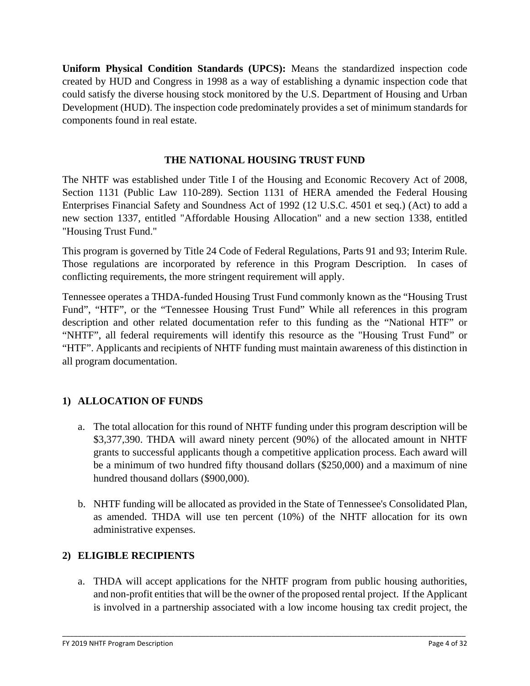**Uniform Physical Condition Standards (UPCS):** Means the standardized inspection code created by HUD and Congress in 1998 as a way of establishing a dynamic inspection code that could satisfy the diverse housing stock monitored by the U.S. Department of Housing and Urban Development (HUD). The inspection code predominately provides a set of minimum standards for components found in real estate.

### **THE NATIONAL HOUSING TRUST FUND**

The NHTF was established under Title I of the Housing and Economic Recovery Act of 2008, Section 1131 (Public Law 110-289). Section 1131 of HERA amended the Federal Housing Enterprises Financial Safety and Soundness Act of 1992 (12 U.S.C. 4501 et seq.) (Act) to add a new section 1337, entitled "Affordable Housing Allocation" and a new section 1338, entitled "Housing Trust Fund."

This program is governed by Title 24 Code of Federal Regulations, Parts 91 and 93; Interim Rule. Those regulations are incorporated by reference in this Program Description. In cases of conflicting requirements, the more stringent requirement will apply.

Tennessee operates a THDA-funded Housing Trust Fund commonly known as the "Housing Trust Fund", "HTF", or the "Tennessee Housing Trust Fund" While all references in this program description and other related documentation refer to this funding as the "National HTF" or "NHTF", all federal requirements will identify this resource as the "Housing Trust Fund" or "HTF". Applicants and recipients of NHTF funding must maintain awareness of this distinction in all program documentation.

# **1) ALLOCATION OF FUNDS**

- a. The total allocation for this round of NHTF funding under this program description will be \$3,377,390. THDA will award ninety percent (90%) of the allocated amount in NHTF grants to successful applicants though a competitive application process. Each award will be a minimum of two hundred fifty thousand dollars (\$250,000) and a maximum of nine hundred thousand dollars (\$900,000).
- b. NHTF funding will be allocated as provided in the State of Tennessee's Consolidated Plan, as amended. THDA will use ten percent (10%) of the NHTF allocation for its own administrative expenses.

# **2) ELIGIBLE RECIPIENTS**

a. THDA will accept applications for the NHTF program from public housing authorities, and non-profit entities that will be the owner of the proposed rental project. If the Applicant is involved in a partnership associated with a low income housing tax credit project, the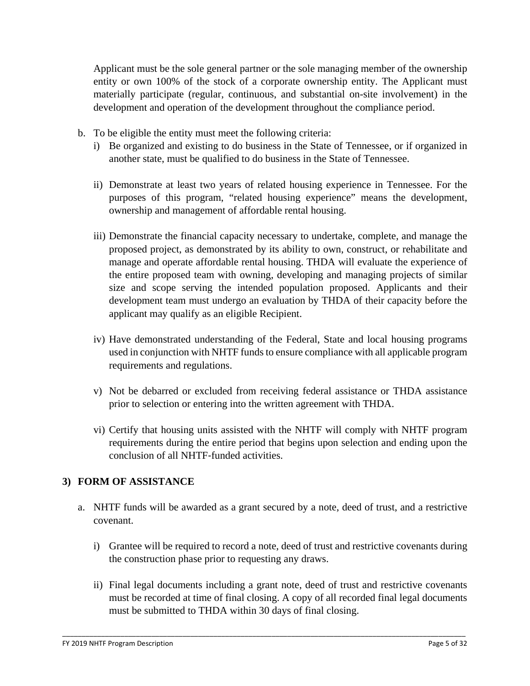Applicant must be the sole general partner or the sole managing member of the ownership entity or own 100% of the stock of a corporate ownership entity. The Applicant must materially participate (regular, continuous, and substantial on-site involvement) in the development and operation of the development throughout the compliance period.

- b. To be eligible the entity must meet the following criteria:
	- i) Be organized and existing to do business in the State of Tennessee, or if organized in another state, must be qualified to do business in the State of Tennessee.
	- ii) Demonstrate at least two years of related housing experience in Tennessee. For the purposes of this program, "related housing experience" means the development, ownership and management of affordable rental housing.
	- iii) Demonstrate the financial capacity necessary to undertake, complete, and manage the proposed project, as demonstrated by its ability to own, construct, or rehabilitate and manage and operate affordable rental housing. THDA will evaluate the experience of the entire proposed team with owning, developing and managing projects of similar size and scope serving the intended population proposed. Applicants and their development team must undergo an evaluation by THDA of their capacity before the applicant may qualify as an eligible Recipient.
	- iv) Have demonstrated understanding of the Federal, State and local housing programs used in conjunction with NHTF funds to ensure compliance with all applicable program requirements and regulations.
	- v) Not be debarred or excluded from receiving federal assistance or THDA assistance prior to selection or entering into the written agreement with THDA.
	- vi) Certify that housing units assisted with the NHTF will comply with NHTF program requirements during the entire period that begins upon selection and ending upon the conclusion of all NHTF‐funded activities.

# **3) FORM OF ASSISTANCE**

- a. NHTF funds will be awarded as a grant secured by a note, deed of trust, and a restrictive covenant.
	- i) Grantee will be required to record a note, deed of trust and restrictive covenants during the construction phase prior to requesting any draws.
	- ii) Final legal documents including a grant note, deed of trust and restrictive covenants must be recorded at time of final closing. A copy of all recorded final legal documents must be submitted to THDA within 30 days of final closing.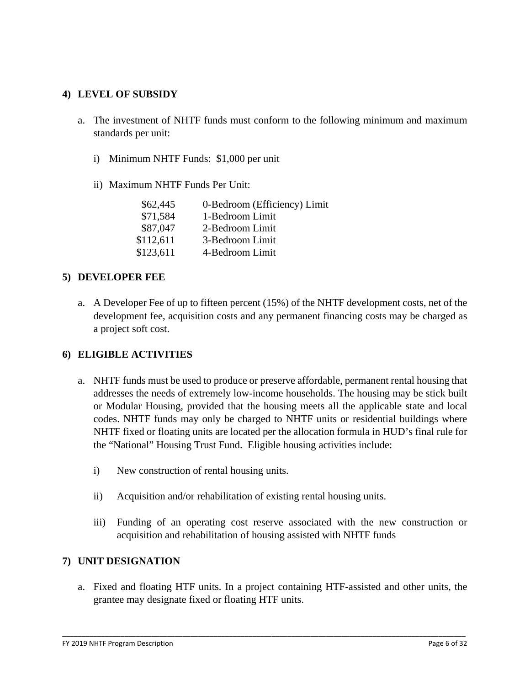#### **4) LEVEL OF SUBSIDY**

- a. The investment of NHTF funds must conform to the following minimum and maximum standards per unit:
	- i) Minimum NHTF Funds: \$1,000 per unit
	- ii) Maximum NHTF Funds Per Unit:

| \$62,445  | 0-Bedroom (Efficiency) Limit |
|-----------|------------------------------|
| \$71,584  | 1-Bedroom Limit              |
| \$87,047  | 2-Bedroom Limit              |
| \$112,611 | 3-Bedroom Limit              |
| \$123,611 | 4-Bedroom Limit              |
|           |                              |

#### **5) DEVELOPER FEE**

a. A Developer Fee of up to fifteen percent (15%) of the NHTF development costs, net of the development fee, acquisition costs and any permanent financing costs may be charged as a project soft cost.

#### **6) ELIGIBLE ACTIVITIES**

- a. NHTF funds must be used to produce or preserve affordable, permanent rental housing that addresses the needs of extremely low-income households. The housing may be stick built or Modular Housing, provided that the housing meets all the applicable state and local codes. NHTF funds may only be charged to NHTF units or residential buildings where NHTF fixed or floating units are located per the allocation formula in HUD's final rule for the "National" Housing Trust Fund. Eligible housing activities include:
	- i) New construction of rental housing units.
	- ii) Acquisition and/or rehabilitation of existing rental housing units.
	- iii) Funding of an operating cost reserve associated with the new construction or acquisition and rehabilitation of housing assisted with NHTF funds

#### **7) UNIT DESIGNATION**

a. Fixed and floating HTF units. In a project containing HTF-assisted and other units, the grantee may designate fixed or floating HTF units.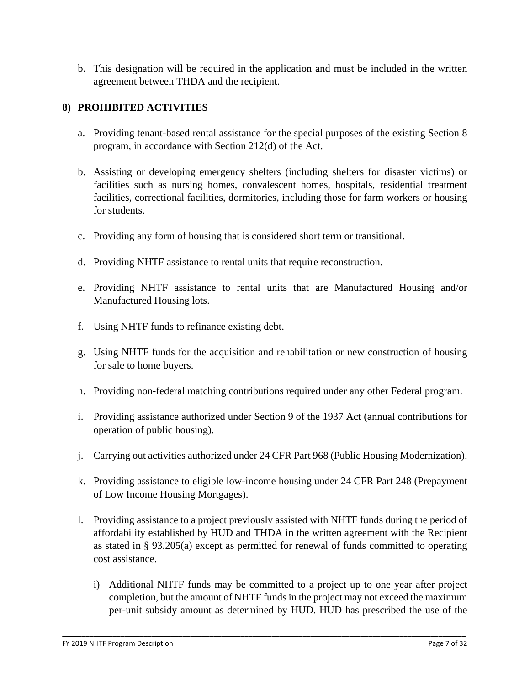b. This designation will be required in the application and must be included in the written agreement between THDA and the recipient.

# **8) PROHIBITED ACTIVITIES**

- a. Providing tenant-based rental assistance for the special purposes of the existing Section 8 program, in accordance with Section 212(d) of the Act.
- b. Assisting or developing emergency shelters (including shelters for disaster victims) or facilities such as nursing homes, convalescent homes, hospitals, residential treatment facilities, correctional facilities, dormitories, including those for farm workers or housing for students.
- c. Providing any form of housing that is considered short term or transitional.
- d. Providing NHTF assistance to rental units that require reconstruction.
- e. Providing NHTF assistance to rental units that are Manufactured Housing and/or Manufactured Housing lots.
- f. Using NHTF funds to refinance existing debt.
- g. Using NHTF funds for the acquisition and rehabilitation or new construction of housing for sale to home buyers.
- h. Providing non-federal matching contributions required under any other Federal program.
- i. Providing assistance authorized under Section 9 of the 1937 Act (annual contributions for operation of public housing).
- j. Carrying out activities authorized under 24 CFR Part 968 (Public Housing Modernization).
- k. Providing assistance to eligible low-income housing under 24 CFR Part 248 (Prepayment of Low Income Housing Mortgages).
- l. Providing assistance to a project previously assisted with NHTF funds during the period of affordability established by HUD and THDA in the written agreement with the Recipient as stated in § 93.205(a) except as permitted for renewal of funds committed to operating cost assistance.
	- i) Additional NHTF funds may be committed to a project up to one year after project completion, but the amount of NHTF funds in the project may not exceed the maximum per-unit subsidy amount as determined by HUD. HUD has prescribed the use of the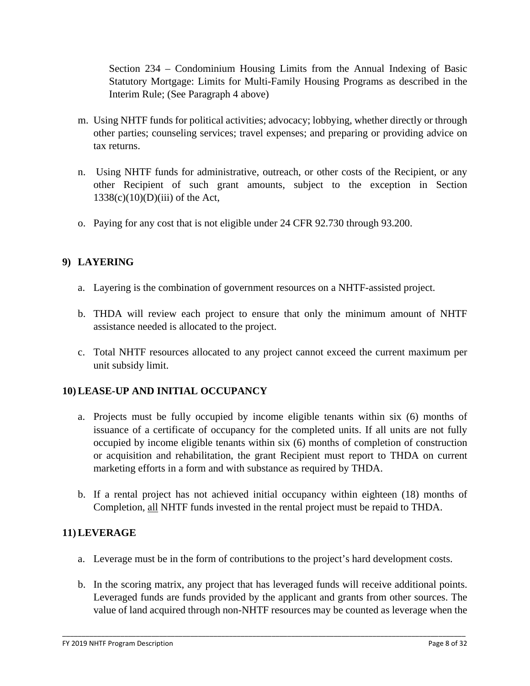Section 234 – Condominium Housing Limits from the Annual Indexing of Basic Statutory Mortgage: Limits for Multi-Family Housing Programs as described in the Interim Rule; (See Paragraph 4 above)

- m. Using NHTF funds for political activities; advocacy; lobbying, whether directly or through other parties; counseling services; travel expenses; and preparing or providing advice on tax returns.
- n. Using NHTF funds for administrative, outreach, or other costs of the Recipient, or any other Recipient of such grant amounts, subject to the exception in Section  $1338(c)(10)(D)(iii)$  of the Act,
- o. Paying for any cost that is not eligible under 24 CFR 92.730 through 93.200.

# **9) LAYERING**

- a. Layering is the combination of government resources on a NHTF-assisted project.
- b. THDA will review each project to ensure that only the minimum amount of NHTF assistance needed is allocated to the project.
- c. Total NHTF resources allocated to any project cannot exceed the current maximum per unit subsidy limit.

# **10) LEASE-UP AND INITIAL OCCUPANCY**

- a. Projects must be fully occupied by income eligible tenants within six (6) months of issuance of a certificate of occupancy for the completed units. If all units are not fully occupied by income eligible tenants within six (6) months of completion of construction or acquisition and rehabilitation, the grant Recipient must report to THDA on current marketing efforts in a form and with substance as required by THDA.
- b. If a rental project has not achieved initial occupancy within eighteen (18) months of Completion, all NHTF funds invested in the rental project must be repaid to THDA.

# **11) LEVERAGE**

a. Leverage must be in the form of contributions to the project's hard development costs.

\_\_\_\_\_\_\_\_\_\_\_\_\_\_\_\_\_\_\_\_\_\_\_\_\_\_\_\_\_\_\_\_\_\_\_\_\_\_\_\_\_\_\_\_\_\_\_\_\_\_\_\_\_\_\_\_\_\_\_\_\_\_\_\_\_\_\_\_\_\_\_\_\_\_\_\_\_\_\_\_\_\_\_\_\_\_\_\_\_\_\_\_\_\_\_\_\_\_\_\_\_\_\_\_

b. In the scoring matrix, any project that has leveraged funds will receive additional points. Leveraged funds are funds provided by the applicant and grants from other sources. The value of land acquired through non-NHTF resources may be counted as leverage when the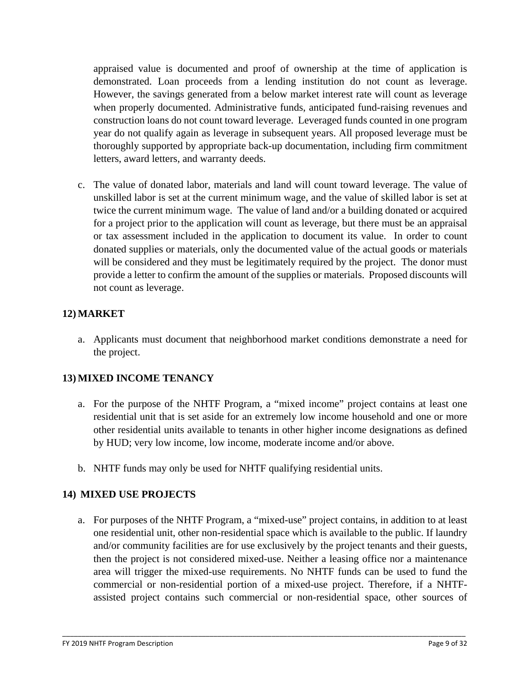appraised value is documented and proof of ownership at the time of application is demonstrated. Loan proceeds from a lending institution do not count as leverage. However, the savings generated from a below market interest rate will count as leverage when properly documented. Administrative funds, anticipated fund-raising revenues and construction loans do not count toward leverage. Leveraged funds counted in one program year do not qualify again as leverage in subsequent years. All proposed leverage must be thoroughly supported by appropriate back-up documentation, including firm commitment letters, award letters, and warranty deeds.

c. The value of donated labor, materials and land will count toward leverage. The value of unskilled labor is set at the current minimum wage, and the value of skilled labor is set at twice the current minimum wage. The value of land and/or a building donated or acquired for a project prior to the application will count as leverage, but there must be an appraisal or tax assessment included in the application to document its value. In order to count donated supplies or materials, only the documented value of the actual goods or materials will be considered and they must be legitimately required by the project. The donor must provide a letter to confirm the amount of the supplies or materials. Proposed discounts will not count as leverage.

# **12) MARKET**

a. Applicants must document that neighborhood market conditions demonstrate a need for the project.

# **13) MIXED INCOME TENANCY**

- a. For the purpose of the NHTF Program, a "mixed income" project contains at least one residential unit that is set aside for an extremely low income household and one or more other residential units available to tenants in other higher income designations as defined by HUD; very low income, low income, moderate income and/or above.
- b. NHTF funds may only be used for NHTF qualifying residential units.

#### **14) MIXED USE PROJECTS**

a. For purposes of the NHTF Program, a "mixed-use" project contains, in addition to at least one residential unit, other non-residential space which is available to the public. If laundry and/or community facilities are for use exclusively by the project tenants and their guests, then the project is not considered mixed-use. Neither a leasing office nor a maintenance area will trigger the mixed-use requirements. No NHTF funds can be used to fund the commercial or non-residential portion of a mixed-use project. Therefore, if a NHTFassisted project contains such commercial or non-residential space, other sources of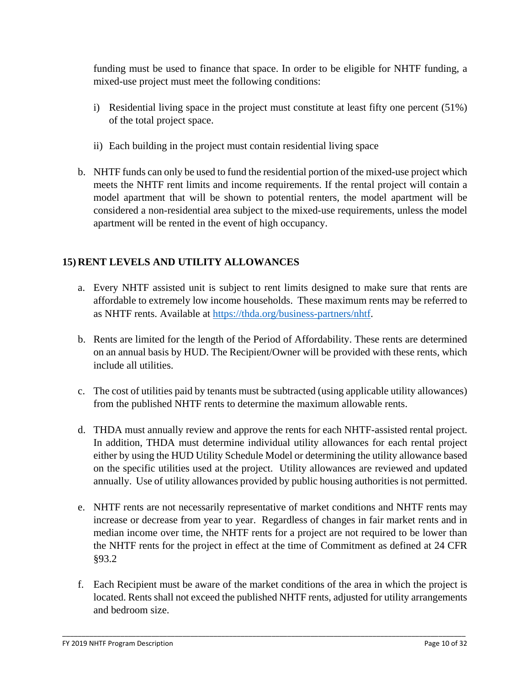funding must be used to finance that space. In order to be eligible for NHTF funding, a mixed-use project must meet the following conditions:

- i) Residential living space in the project must constitute at least fifty one percent (51%) of the total project space.
- ii) Each building in the project must contain residential living space
- b. NHTF funds can only be used to fund the residential portion of the mixed-use project which meets the NHTF rent limits and income requirements. If the rental project will contain a model apartment that will be shown to potential renters, the model apartment will be considered a non-residential area subject to the mixed-use requirements, unless the model apartment will be rented in the event of high occupancy.

# **15) RENT LEVELS AND UTILITY ALLOWANCES**

- a. Every NHTF assisted unit is subject to rent limits designed to make sure that rents are affordable to extremely low income households. These maximum rents may be referred to as NHTF rents. Available at [https://thda.org/business-partners/nhtf.](https://thda.org/business-partners/nhtf)
- b. Rents are limited for the length of the Period of Affordability. These rents are determined on an annual basis by HUD. The Recipient/Owner will be provided with these rents, which include all utilities.
- c. The cost of utilities paid by tenants must be subtracted (using applicable utility allowances) from the published NHTF rents to determine the maximum allowable rents.
- d. THDA must annually review and approve the rents for each NHTF-assisted rental project. In addition, THDA must determine individual utility allowances for each rental project either by using the HUD Utility Schedule Model or determining the utility allowance based on the specific utilities used at the project. Utility allowances are reviewed and updated annually. Use of utility allowances provided by public housing authorities is not permitted.
- e. NHTF rents are not necessarily representative of market conditions and NHTF rents may increase or decrease from year to year. Regardless of changes in fair market rents and in median income over time, the NHTF rents for a project are not required to be lower than the NHTF rents for the project in effect at the time of Commitment as defined at 24 CFR §93.2
- f. Each Recipient must be aware of the market conditions of the area in which the project is located. Rents shall not exceed the published NHTF rents, adjusted for utility arrangements and bedroom size.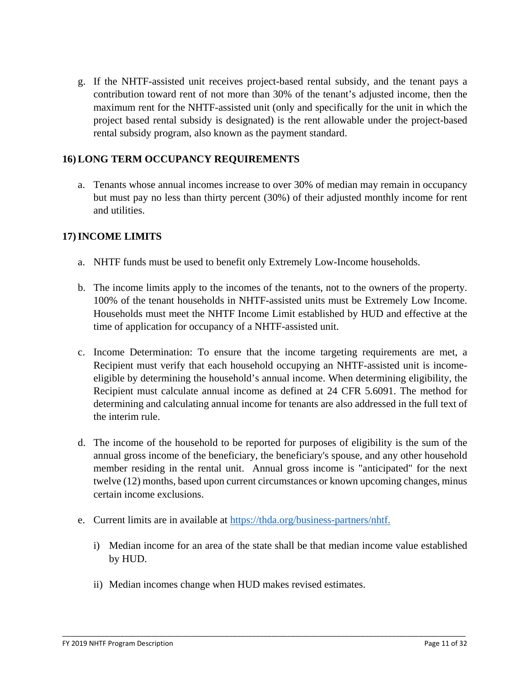g. If the NHTF-assisted unit receives project-based rental subsidy, and the tenant pays a contribution toward rent of not more than 30% of the tenant's adjusted income, then the maximum rent for the NHTF-assisted unit (only and specifically for the unit in which the project based rental subsidy is designated) is the rent allowable under the project-based rental subsidy program, also known as the payment standard.

### **16) LONG TERM OCCUPANCY REQUIREMENTS**

a. Tenants whose annual incomes increase to over 30% of median may remain in occupancy but must pay no less than thirty percent (30%) of their adjusted monthly income for rent and utilities.

### **17)INCOME LIMITS**

- a. NHTF funds must be used to benefit only Extremely Low-Income households.
- b. The income limits apply to the incomes of the tenants, not to the owners of the property. 100% of the tenant households in NHTF-assisted units must be Extremely Low Income. Households must meet the NHTF Income Limit established by HUD and effective at the time of application for occupancy of a NHTF-assisted unit.
- c. Income Determination: To ensure that the income targeting requirements are met, a Recipient must verify that each household occupying an NHTF-assisted unit is incomeeligible by determining the household's annual income. When determining eligibility, the Recipient must calculate annual income as defined at 24 CFR 5.6091. The method for determining and calculating annual income for tenants are also addressed in the full text of the interim rule.
- d. The income of the household to be reported for purposes of eligibility is the sum of the annual gross income of the beneficiary, the beneficiary's spouse, and any other household member residing in the rental unit. Annual gross income is "anticipated" for the next twelve (12) months, based upon current circumstances or known upcoming changes, minus certain income exclusions.
- e. Current limits are in available at [https://thda.org/business-partners/nhtf.](https://thda.org/business-partners/nhtf)
	- i) Median income for an area of the state shall be that median income value established by HUD.

\_\_\_\_\_\_\_\_\_\_\_\_\_\_\_\_\_\_\_\_\_\_\_\_\_\_\_\_\_\_\_\_\_\_\_\_\_\_\_\_\_\_\_\_\_\_\_\_\_\_\_\_\_\_\_\_\_\_\_\_\_\_\_\_\_\_\_\_\_\_\_\_\_\_\_\_\_\_\_\_\_\_\_\_\_\_\_\_\_\_\_\_\_\_\_\_\_\_\_\_\_\_\_\_

ii) Median incomes change when HUD makes revised estimates.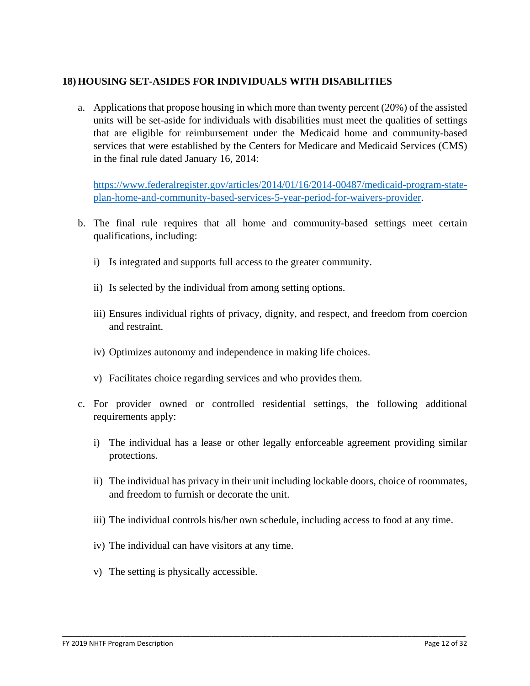#### **18) HOUSING SET-ASIDES FOR INDIVIDUALS WITH DISABILITIES**

a. Applications that propose housing in which more than twenty percent (20%) of the assisted units will be set-aside for individuals with disabilities must meet the qualities of settings that are eligible for reimbursement under the Medicaid home and community-based services that were established by the Centers for Medicare and Medicaid Services (CMS) in the final rule dated January 16, 2014:

[https://www.federalregister.gov/articles/2014/01/16/2014-00487/medicaid-program-state](https://www.federalregister.gov/articles/2014/01/16/2014-00487/medicaid-program-state-plan-home-and-community-based-services-5-year-period-for-waivers-provider)[plan-home-and-community-based-services-5-year-period-for-waivers-provider.](https://www.federalregister.gov/articles/2014/01/16/2014-00487/medicaid-program-state-plan-home-and-community-based-services-5-year-period-for-waivers-provider)

- b. The final rule requires that all home and community-based settings meet certain qualifications, including:
	- i) Is integrated and supports full access to the greater community.
	- ii) Is selected by the individual from among setting options.
	- iii) Ensures individual rights of privacy, dignity, and respect, and freedom from coercion and restraint.
	- iv) Optimizes autonomy and independence in making life choices.
	- v) Facilitates choice regarding services and who provides them.
- c. For provider owned or controlled residential settings, the following additional requirements apply:
	- i) The individual has a lease or other legally enforceable agreement providing similar protections.
	- ii) The individual has privacy in their unit including lockable doors, choice of roommates, and freedom to furnish or decorate the unit.
	- iii) The individual controls his/her own schedule, including access to food at any time.

- iv) The individual can have visitors at any time.
- v) The setting is physically accessible.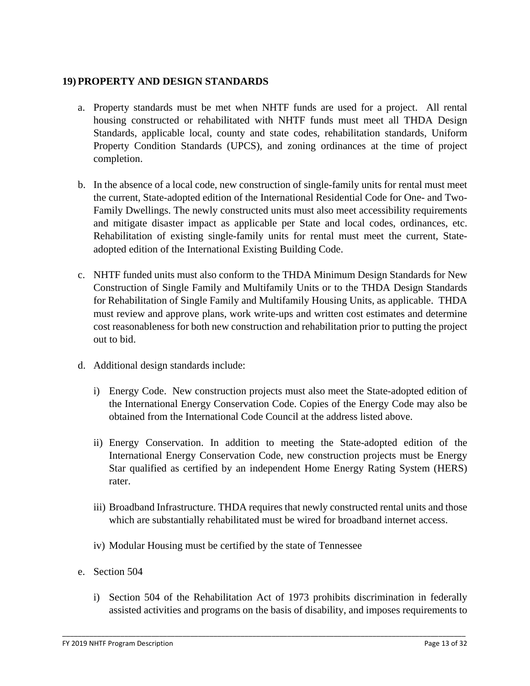#### **19) PROPERTY AND DESIGN STANDARDS**

- a. Property standards must be met when NHTF funds are used for a project. All rental housing constructed or rehabilitated with NHTF funds must meet all THDA Design Standards, applicable local, county and state codes, rehabilitation standards, Uniform Property Condition Standards (UPCS), and zoning ordinances at the time of project completion.
- b. In the absence of a local code, new construction of single-family units for rental must meet the current, State-adopted edition of the International Residential Code for One- and Two-Family Dwellings. The newly constructed units must also meet accessibility requirements and mitigate disaster impact as applicable per State and local codes, ordinances, etc. Rehabilitation of existing single-family units for rental must meet the current, Stateadopted edition of the International Existing Building Code.
- c. NHTF funded units must also conform to the THDA Minimum Design Standards for New Construction of Single Family and Multifamily Units or to the THDA Design Standards for Rehabilitation of Single Family and Multifamily Housing Units, as applicable. THDA must review and approve plans, work write-ups and written cost estimates and determine cost reasonableness for both new construction and rehabilitation prior to putting the project out to bid.
- d. Additional design standards include:
	- i) Energy Code. New construction projects must also meet the State-adopted edition of the International Energy Conservation Code. Copies of the Energy Code may also be obtained from the International Code Council at the address listed above.
	- ii) Energy Conservation. In addition to meeting the State-adopted edition of the International Energy Conservation Code, new construction projects must be Energy Star qualified as certified by an independent Home Energy Rating System (HERS) rater.
	- iii) Broadband Infrastructure. THDA requires that newly constructed rental units and those which are substantially rehabilitated must be wired for broadband internet access.
	- iv) Modular Housing must be certified by the state of Tennessee
- e. Section 504
	- i) Section 504 of the Rehabilitation Act of 1973 prohibits discrimination in federally assisted activities and programs on the basis of disability, and imposes requirements to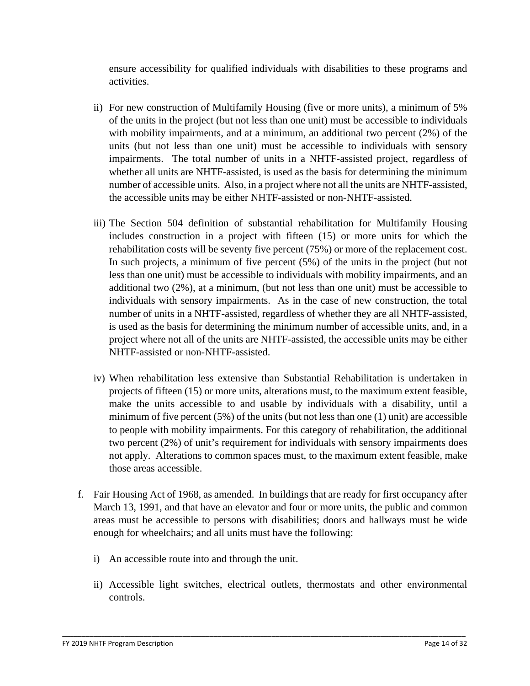ensure accessibility for qualified individuals with disabilities to these programs and activities.

- ii) For new construction of Multifamily Housing (five or more units), a minimum of 5% of the units in the project (but not less than one unit) must be accessible to individuals with mobility impairments, and at a minimum, an additional two percent (2%) of the units (but not less than one unit) must be accessible to individuals with sensory impairments. The total number of units in a NHTF-assisted project, regardless of whether all units are NHTF-assisted, is used as the basis for determining the minimum number of accessible units. Also, in a project where not all the units are NHTF-assisted, the accessible units may be either NHTF-assisted or non-NHTF-assisted.
- iii) The Section 504 definition of substantial rehabilitation for Multifamily Housing includes construction in a project with fifteen (15) or more units for which the rehabilitation costs will be seventy five percent (75%) or more of the replacement cost. In such projects, a minimum of five percent (5%) of the units in the project (but not less than one unit) must be accessible to individuals with mobility impairments, and an additional two (2%), at a minimum, (but not less than one unit) must be accessible to individuals with sensory impairments. As in the case of new construction, the total number of units in a NHTF-assisted, regardless of whether they are all NHTF-assisted, is used as the basis for determining the minimum number of accessible units, and, in a project where not all of the units are NHTF-assisted, the accessible units may be either NHTF-assisted or non-NHTF-assisted.
- iv) When rehabilitation less extensive than Substantial Rehabilitation is undertaken in projects of fifteen (15) or more units, alterations must, to the maximum extent feasible, make the units accessible to and usable by individuals with a disability, until a minimum of five percent  $(5\%)$  of the units (but not less than one  $(1)$  unit) are accessible to people with mobility impairments. For this category of rehabilitation, the additional two percent (2%) of unit's requirement for individuals with sensory impairments does not apply. Alterations to common spaces must, to the maximum extent feasible, make those areas accessible.
- f. Fair Housing Act of 1968, as amended. In buildings that are ready for first occupancy after March 13, 1991, and that have an elevator and four or more units, the public and common areas must be accessible to persons with disabilities; doors and hallways must be wide enough for wheelchairs; and all units must have the following:
	- i) An accessible route into and through the unit.
	- ii) Accessible light switches, electrical outlets, thermostats and other environmental controls.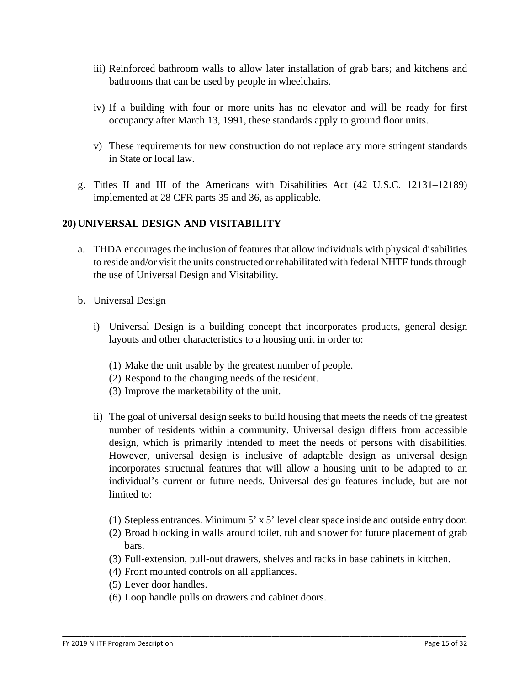- iii) Reinforced bathroom walls to allow later installation of grab bars; and kitchens and bathrooms that can be used by people in wheelchairs.
- iv) If a building with four or more units has no elevator and will be ready for first occupancy after March 13, 1991, these standards apply to ground floor units.
- v) These requirements for new construction do not replace any more stringent standards in State or local law.
- g. Titles II and III of the Americans with Disabilities Act (42 U.S.C. 12131–12189) implemented at 28 CFR parts 35 and 36, as applicable.

### **20) UNIVERSAL DESIGN AND VISITABILITY**

- a. THDA encourages the inclusion of features that allow individuals with physical disabilities to reside and/or visit the units constructed or rehabilitated with federal NHTF funds through the use of Universal Design and Visitability.
- b. Universal Design
	- i) Universal Design is a building concept that incorporates products, general design layouts and other characteristics to a housing unit in order to:
		- (1) Make the unit usable by the greatest number of people.
		- (2) Respond to the changing needs of the resident.
		- (3) Improve the marketability of the unit.
	- ii) The goal of universal design seeks to build housing that meets the needs of the greatest number of residents within a community. Universal design differs from accessible design, which is primarily intended to meet the needs of persons with disabilities. However, universal design is inclusive of adaptable design as universal design incorporates structural features that will allow a housing unit to be adapted to an individual's current or future needs. Universal design features include, but are not limited to:
		- (1) Stepless entrances. Minimum 5' x 5' level clear space inside and outside entry door.
		- (2) Broad blocking in walls around toilet, tub and shower for future placement of grab bars.
		- (3) Full-extension, pull-out drawers, shelves and racks in base cabinets in kitchen.

- (4) Front mounted controls on all appliances.
- (5) Lever door handles.
- (6) Loop handle pulls on drawers and cabinet doors.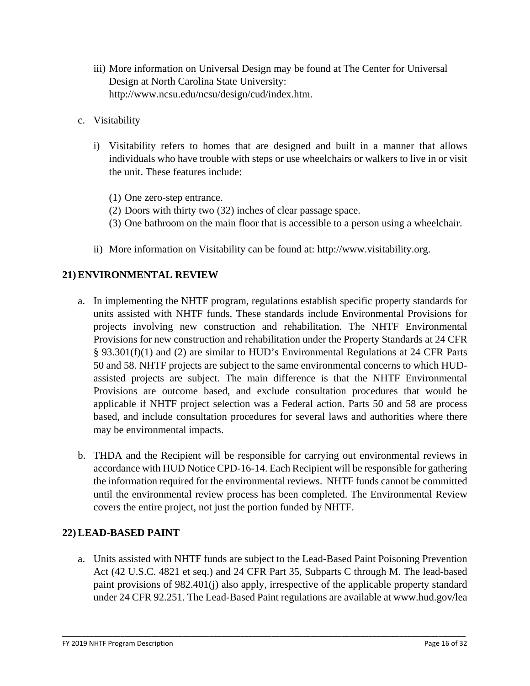- iii) More information on Universal Design may be found at The Center for Universal Design at North Carolina State University: http://www.ncsu.edu/ncsu/design/cud/index.htm.
- c. Visitability
	- i) Visitability refers to homes that are designed and built in a manner that allows individuals who have trouble with steps or use wheelchairs or walkers to live in or visit the unit. These features include:
		- (1) One zero-step entrance.
		- (2) Doors with thirty two (32) inches of clear passage space.
		- (3) One bathroom on the main floor that is accessible to a person using a wheelchair.
	- ii) More information on Visitability can be found at: http://www.visitability.org.

### **21) ENVIRONMENTAL REVIEW**

- a. In implementing the NHTF program, regulations establish specific property standards for units assisted with NHTF funds. These standards include Environmental Provisions for projects involving new construction and rehabilitation. The NHTF Environmental Provisions for new construction and rehabilitation under the Property Standards at 24 CFR § 93.301(f)(1) and (2) are similar to HUD's Environmental Regulations at 24 CFR Parts 50 and 58. NHTF projects are subject to the same environmental concerns to which HUDassisted projects are subject. The main difference is that the NHTF Environmental Provisions are outcome based, and exclude consultation procedures that would be applicable if NHTF project selection was a Federal action. Parts 50 and 58 are process based, and include consultation procedures for several laws and authorities where there may be environmental impacts.
- b. THDA and the Recipient will be responsible for carrying out environmental reviews in accordance with HUD Notice CPD-16-14. Each Recipient will be responsible for gathering the information required for the environmental reviews. NHTF funds cannot be committed until the environmental review process has been completed. The Environmental Review covers the entire project, not just the portion funded by NHTF.

# **22) LEAD-BASED PAINT**

a. Units assisted with NHTF funds are subject to the Lead-Based Paint Poisoning Prevention Act (42 U.S.C. 4821 et seq.) and 24 CFR Part 35, Subparts C through M. The lead-based paint provisions of 982.401(j) also apply, irrespective of the applicable property standard under 24 CFR 92.251. The Lead-Based Paint regulations are available at www.hud.gov/lea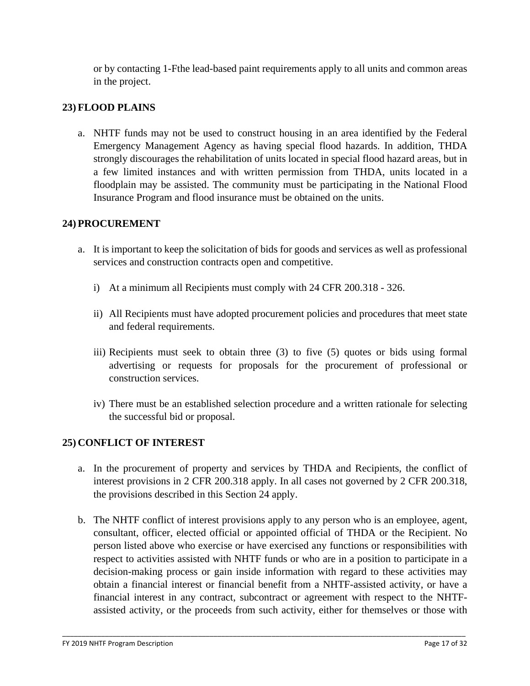or by contacting 1-Fthe lead-based paint requirements apply to all units and common areas in the project.

### **23) FLOOD PLAINS**

a. NHTF funds may not be used to construct housing in an area identified by the Federal Emergency Management Agency as having special flood hazards. In addition, THDA strongly discourages the rehabilitation of units located in special flood hazard areas, but in a few limited instances and with written permission from THDA, units located in a floodplain may be assisted. The community must be participating in the National Flood Insurance Program and flood insurance must be obtained on the units.

#### **24) PROCUREMENT**

- a. It is important to keep the solicitation of bids for goods and services as well as professional services and construction contracts open and competitive.
	- i) At a minimum all Recipients must comply with 24 CFR 200.318 326.
	- ii) All Recipients must have adopted procurement policies and procedures that meet state and federal requirements.
	- iii) Recipients must seek to obtain three (3) to five (5) quotes or bids using formal advertising or requests for proposals for the procurement of professional or construction services.
	- iv) There must be an established selection procedure and a written rationale for selecting the successful bid or proposal.

#### **25) CONFLICT OF INTEREST**

- a. In the procurement of property and services by THDA and Recipients, the conflict of interest provisions in 2 CFR 200.318 apply. In all cases not governed by 2 CFR 200.318, the provisions described in this Section 24 apply.
- b. The NHTF conflict of interest provisions apply to any person who is an employee, agent, consultant, officer, elected official or appointed official of THDA or the Recipient. No person listed above who exercise or have exercised any functions or responsibilities with respect to activities assisted with NHTF funds or who are in a position to participate in a decision-making process or gain inside information with regard to these activities may obtain a financial interest or financial benefit from a NHTF-assisted activity, or have a financial interest in any contract, subcontract or agreement with respect to the NHTFassisted activity, or the proceeds from such activity, either for themselves or those with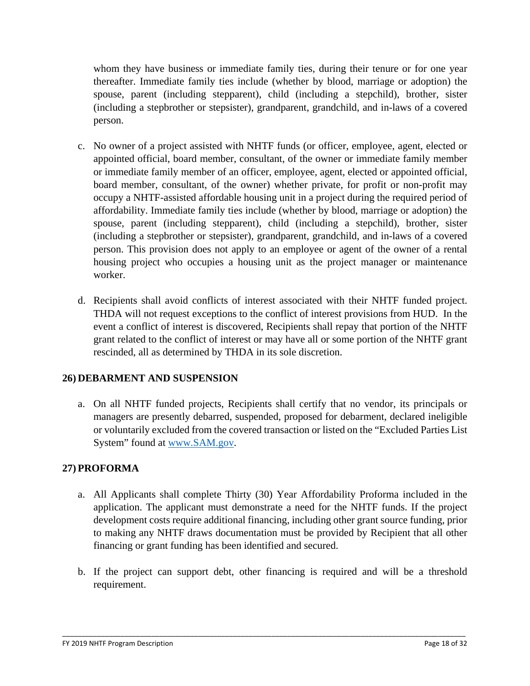whom they have business or immediate family ties, during their tenure or for one year thereafter. Immediate family ties include (whether by blood, marriage or adoption) the spouse, parent (including stepparent), child (including a stepchild), brother, sister (including a stepbrother or stepsister), grandparent, grandchild, and in-laws of a covered person.

- c. No owner of a project assisted with NHTF funds (or officer, employee, agent, elected or appointed official, board member, consultant, of the owner or immediate family member or immediate family member of an officer, employee, agent, elected or appointed official, board member, consultant, of the owner) whether private, for profit or non-profit may occupy a NHTF-assisted affordable housing unit in a project during the required period of affordability. Immediate family ties include (whether by blood, marriage or adoption) the spouse, parent (including stepparent), child (including a stepchild), brother, sister (including a stepbrother or stepsister), grandparent, grandchild, and in-laws of a covered person. This provision does not apply to an employee or agent of the owner of a rental housing project who occupies a housing unit as the project manager or maintenance worker.
- d. Recipients shall avoid conflicts of interest associated with their NHTF funded project. THDA will not request exceptions to the conflict of interest provisions from HUD. In the event a conflict of interest is discovered, Recipients shall repay that portion of the NHTF grant related to the conflict of interest or may have all or some portion of the NHTF grant rescinded, all as determined by THDA in its sole discretion.

# **26) DEBARMENT AND SUSPENSION**

a. On all NHTF funded projects, Recipients shall certify that no vendor, its principals or managers are presently debarred, suspended, proposed for debarment, declared ineligible or voluntarily excluded from the covered transaction or listed on the "Excluded Parties List System" found at [www.SAM.gov.](http://www.sam.gov/)

# **27) PROFORMA**

- a. All Applicants shall complete Thirty (30) Year Affordability Proforma included in the application. The applicant must demonstrate a need for the NHTF funds. If the project development costs require additional financing, including other grant source funding, prior to making any NHTF draws documentation must be provided by Recipient that all other financing or grant funding has been identified and secured.
- b. If the project can support debt, other financing is required and will be a threshold requirement.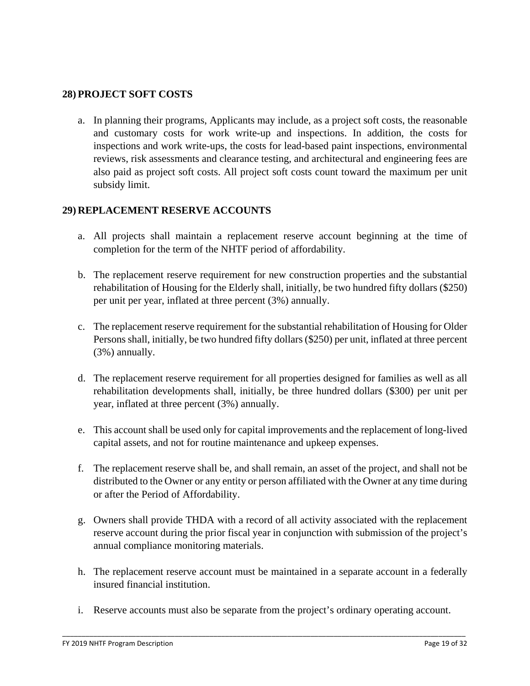#### **28) PROJECT SOFT COSTS**

a. In planning their programs, Applicants may include, as a project soft costs, the reasonable and customary costs for work write-up and inspections. In addition, the costs for inspections and work write-ups, the costs for lead-based paint inspections, environmental reviews, risk assessments and clearance testing, and architectural and engineering fees are also paid as project soft costs. All project soft costs count toward the maximum per unit subsidy limit.

### **29) REPLACEMENT RESERVE ACCOUNTS**

- a. All projects shall maintain a replacement reserve account beginning at the time of completion for the term of the NHTF period of affordability.
- b. The replacement reserve requirement for new construction properties and the substantial rehabilitation of Housing for the Elderly shall, initially, be two hundred fifty dollars (\$250) per unit per year, inflated at three percent (3%) annually.
- c. The replacement reserve requirement for the substantial rehabilitation of Housing for Older Persons shall, initially, be two hundred fifty dollars (\$250) per unit, inflated at three percent (3%) annually.
- d. The replacement reserve requirement for all properties designed for families as well as all rehabilitation developments shall, initially, be three hundred dollars (\$300) per unit per year, inflated at three percent (3%) annually.
- e. This account shall be used only for capital improvements and the replacement of long-lived capital assets, and not for routine maintenance and upkeep expenses.
- f. The replacement reserve shall be, and shall remain, an asset of the project, and shall not be distributed to the Owner or any entity or person affiliated with the Owner at any time during or after the Period of Affordability.
- g. Owners shall provide THDA with a record of all activity associated with the replacement reserve account during the prior fiscal year in conjunction with submission of the project's annual compliance monitoring materials.
- h. The replacement reserve account must be maintained in a separate account in a federally insured financial institution.
- i. Reserve accounts must also be separate from the project's ordinary operating account.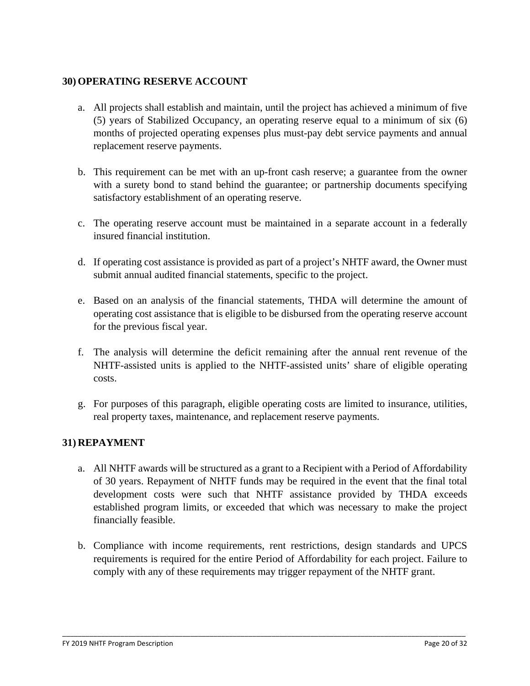### **30) OPERATING RESERVE ACCOUNT**

- a. All projects shall establish and maintain, until the project has achieved a minimum of five (5) years of Stabilized Occupancy, an operating reserve equal to a minimum of six (6) months of projected operating expenses plus must-pay debt service payments and annual replacement reserve payments.
- b. This requirement can be met with an up-front cash reserve; a guarantee from the owner with a surety bond to stand behind the guarantee; or partnership documents specifying satisfactory establishment of an operating reserve.
- c. The operating reserve account must be maintained in a separate account in a federally insured financial institution.
- d. If operating cost assistance is provided as part of a project's NHTF award, the Owner must submit annual audited financial statements, specific to the project.
- e. Based on an analysis of the financial statements, THDA will determine the amount of operating cost assistance that is eligible to be disbursed from the operating reserve account for the previous fiscal year.
- f. The analysis will determine the deficit remaining after the annual rent revenue of the NHTF-assisted units is applied to the NHTF-assisted units' share of eligible operating costs.
- g. For purposes of this paragraph, eligible operating costs are limited to insurance, utilities, real property taxes, maintenance, and replacement reserve payments.

# **31) REPAYMENT**

- a. All NHTF awards will be structured as a grant to a Recipient with a Period of Affordability of 30 years. Repayment of NHTF funds may be required in the event that the final total development costs were such that NHTF assistance provided by THDA exceeds established program limits, or exceeded that which was necessary to make the project financially feasible.
- b. Compliance with income requirements, rent restrictions, design standards and UPCS requirements is required for the entire Period of Affordability for each project. Failure to comply with any of these requirements may trigger repayment of the NHTF grant.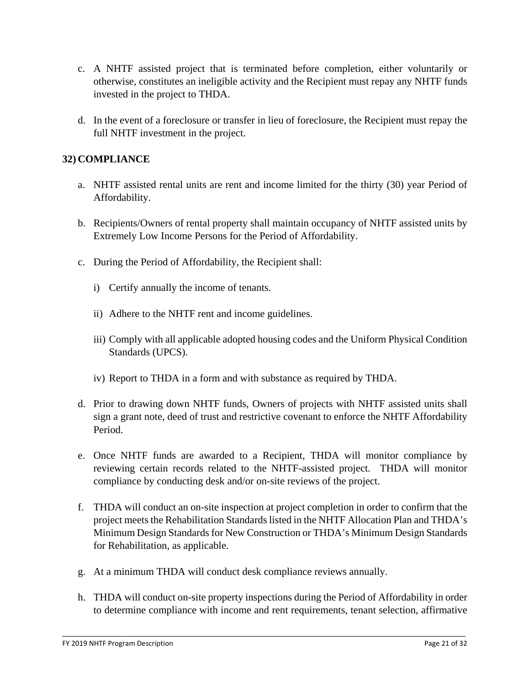- c. A NHTF assisted project that is terminated before completion, either voluntarily or otherwise, constitutes an ineligible activity and the Recipient must repay any NHTF funds invested in the project to THDA.
- d. In the event of a foreclosure or transfer in lieu of foreclosure, the Recipient must repay the full NHTF investment in the project.

### **32) COMPLIANCE**

- a. NHTF assisted rental units are rent and income limited for the thirty (30) year Period of Affordability.
- b. Recipients/Owners of rental property shall maintain occupancy of NHTF assisted units by Extremely Low Income Persons for the Period of Affordability.
- c. During the Period of Affordability, the Recipient shall:
	- i) Certify annually the income of tenants.
	- ii) Adhere to the NHTF rent and income guidelines.
	- iii) Comply with all applicable adopted housing codes and the Uniform Physical Condition Standards (UPCS).
	- iv) Report to THDA in a form and with substance as required by THDA.
- d. Prior to drawing down NHTF funds, Owners of projects with NHTF assisted units shall sign a grant note, deed of trust and restrictive covenant to enforce the NHTF Affordability Period.
- e. Once NHTF funds are awarded to a Recipient, THDA will monitor compliance by reviewing certain records related to the NHTF-assisted project. THDA will monitor compliance by conducting desk and/or on-site reviews of the project.
- f. THDA will conduct an on-site inspection at project completion in order to confirm that the project meets the Rehabilitation Standards listed in the NHTF Allocation Plan and THDA's Minimum Design Standards for New Construction or THDA's Minimum Design Standards for Rehabilitation, as applicable.
- g. At a minimum THDA will conduct desk compliance reviews annually.
- h. THDA will conduct on-site property inspections during the Period of Affordability in order to determine compliance with income and rent requirements, tenant selection, affirmative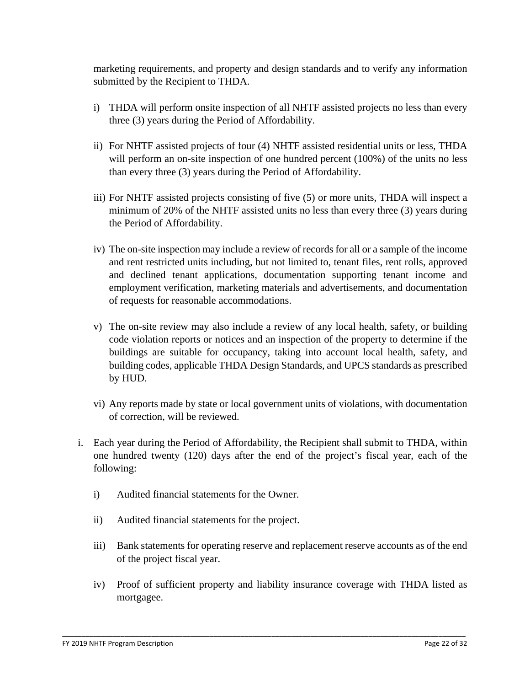marketing requirements, and property and design standards and to verify any information submitted by the Recipient to THDA.

- i) THDA will perform onsite inspection of all NHTF assisted projects no less than every three (3) years during the Period of Affordability.
- ii) For NHTF assisted projects of four (4) NHTF assisted residential units or less, THDA will perform an on-site inspection of one hundred percent (100%) of the units no less than every three (3) years during the Period of Affordability.
- iii) For NHTF assisted projects consisting of five (5) or more units, THDA will inspect a minimum of 20% of the NHTF assisted units no less than every three (3) years during the Period of Affordability.
- iv) The on-site inspection may include a review of records for all or a sample of the income and rent restricted units including, but not limited to, tenant files, rent rolls, approved and declined tenant applications, documentation supporting tenant income and employment verification, marketing materials and advertisements, and documentation of requests for reasonable accommodations.
- v) The on-site review may also include a review of any local health, safety, or building code violation reports or notices and an inspection of the property to determine if the buildings are suitable for occupancy, taking into account local health, safety, and building codes, applicable THDA Design Standards, and UPCS standards as prescribed by HUD.
- vi) Any reports made by state or local government units of violations, with documentation of correction, will be reviewed.
- i. Each year during the Period of Affordability, the Recipient shall submit to THDA, within one hundred twenty (120) days after the end of the project's fiscal year, each of the following:
	- i) Audited financial statements for the Owner.
	- ii) Audited financial statements for the project.
	- iii) Bank statements for operating reserve and replacement reserve accounts as of the end of the project fiscal year.
	- iv) Proof of sufficient property and liability insurance coverage with THDA listed as mortgagee.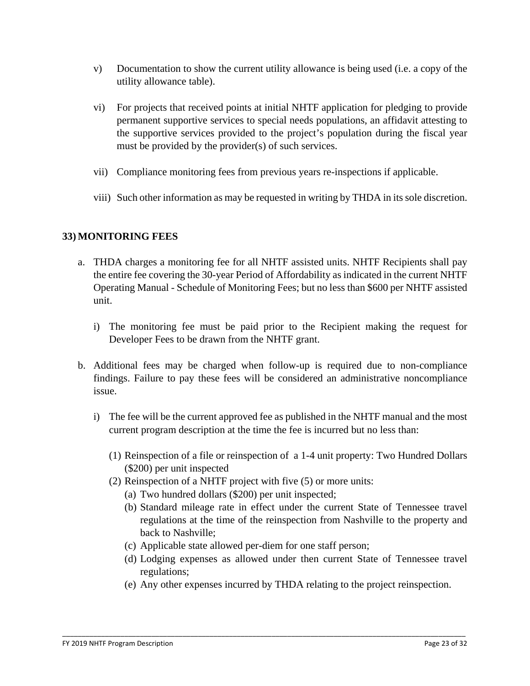- v) Documentation to show the current utility allowance is being used (i.e. a copy of the utility allowance table).
- vi) For projects that received points at initial NHTF application for pledging to provide permanent supportive services to special needs populations, an affidavit attesting to the supportive services provided to the project's population during the fiscal year must be provided by the provider(s) of such services.
- vii) Compliance monitoring fees from previous years re-inspections if applicable.
- viii) Such other information as may be requested in writing by THDA in its sole discretion.

# **33) MONITORING FEES**

- a. THDA charges a monitoring fee for all NHTF assisted units. NHTF Recipients shall pay the entire fee covering the 30-year Period of Affordability as indicated in the current NHTF Operating Manual - Schedule of Monitoring Fees; but no less than \$600 per NHTF assisted unit.
	- i) The monitoring fee must be paid prior to the Recipient making the request for Developer Fees to be drawn from the NHTF grant.
- b. Additional fees may be charged when follow-up is required due to non-compliance findings. Failure to pay these fees will be considered an administrative noncompliance issue.
	- i) The fee will be the current approved fee as published in the NHTF manual and the most current program description at the time the fee is incurred but no less than:
		- (1) Reinspection of a file or reinspection of a 1-4 unit property: Two Hundred Dollars (\$200) per unit inspected
		- (2) Reinspection of a NHTF project with five (5) or more units:
			- (a) Two hundred dollars (\$200) per unit inspected;
			- (b) Standard mileage rate in effect under the current State of Tennessee travel regulations at the time of the reinspection from Nashville to the property and back to Nashville;
			- (c) Applicable state allowed per-diem for one staff person;

- (d) Lodging expenses as allowed under then current State of Tennessee travel regulations;
- (e) Any other expenses incurred by THDA relating to the project reinspection.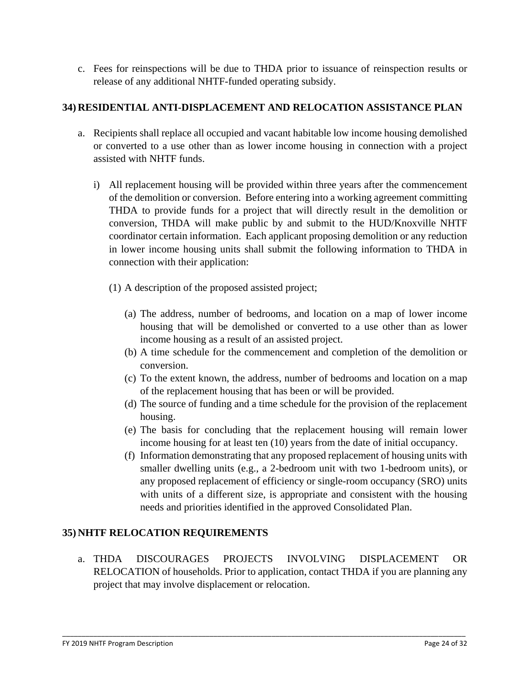c. Fees for reinspections will be due to THDA prior to issuance of reinspection results or release of any additional NHTF-funded operating subsidy.

# **34) RESIDENTIAL ANTI-DISPLACEMENT AND RELOCATION ASSISTANCE PLAN**

- a. Recipients shall replace all occupied and vacant habitable low income housing demolished or converted to a use other than as lower income housing in connection with a project assisted with NHTF funds.
	- i) All replacement housing will be provided within three years after the commencement of the demolition or conversion. Before entering into a working agreement committing THDA to provide funds for a project that will directly result in the demolition or conversion, THDA will make public by and submit to the HUD/Knoxville NHTF coordinator certain information. Each applicant proposing demolition or any reduction in lower income housing units shall submit the following information to THDA in connection with their application:
		- (1) A description of the proposed assisted project;
			- (a) The address, number of bedrooms, and location on a map of lower income housing that will be demolished or converted to a use other than as lower income housing as a result of an assisted project.
			- (b) A time schedule for the commencement and completion of the demolition or conversion.
			- (c) To the extent known, the address, number of bedrooms and location on a map of the replacement housing that has been or will be provided.
			- (d) The source of funding and a time schedule for the provision of the replacement housing.
			- (e) The basis for concluding that the replacement housing will remain lower income housing for at least ten (10) years from the date of initial occupancy.
			- (f) Information demonstrating that any proposed replacement of housing units with smaller dwelling units (e.g., a 2-bedroom unit with two 1-bedroom units), or any proposed replacement of efficiency or single-room occupancy (SRO) units with units of a different size, is appropriate and consistent with the housing needs and priorities identified in the approved Consolidated Plan.

# **35) NHTF RELOCATION REQUIREMENTS**

a. THDA DISCOURAGES PROJECTS INVOLVING DISPLACEMENT OR RELOCATION of households. Prior to application, contact THDA if you are planning any project that may involve displacement or relocation.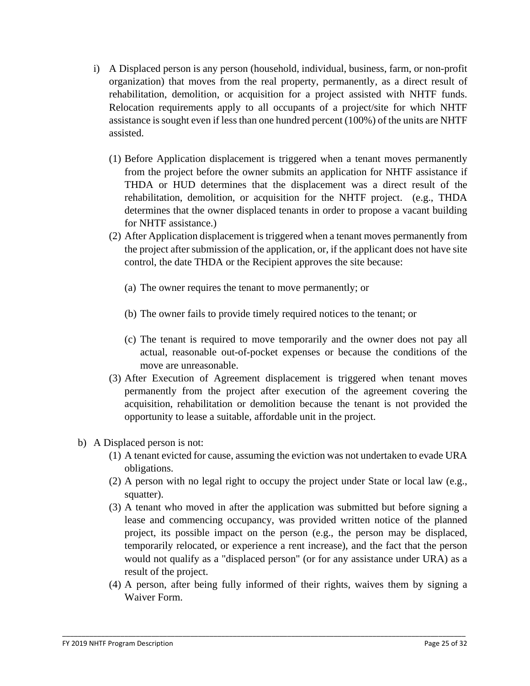- i) A Displaced person is any person (household, individual, business, farm, or non-profit organization) that moves from the real property, permanently, as a direct result of rehabilitation, demolition, or acquisition for a project assisted with NHTF funds. Relocation requirements apply to all occupants of a project/site for which NHTF assistance is sought even if less than one hundred percent (100%) of the units are NHTF assisted.
	- (1) Before Application displacement is triggered when a tenant moves permanently from the project before the owner submits an application for NHTF assistance if THDA or HUD determines that the displacement was a direct result of the rehabilitation, demolition, or acquisition for the NHTF project. (e.g., THDA determines that the owner displaced tenants in order to propose a vacant building for NHTF assistance.)
	- (2) After Application displacement is triggered when a tenant moves permanently from the project after submission of the application, or, if the applicant does not have site control, the date THDA or the Recipient approves the site because:
		- (a) The owner requires the tenant to move permanently; or
		- (b) The owner fails to provide timely required notices to the tenant; or
		- (c) The tenant is required to move temporarily and the owner does not pay all actual, reasonable out-of-pocket expenses or because the conditions of the move are unreasonable.
	- (3) After Execution of Agreement displacement is triggered when tenant moves permanently from the project after execution of the agreement covering the acquisition, rehabilitation or demolition because the tenant is not provided the opportunity to lease a suitable, affordable unit in the project.
- b) A Displaced person is not:
	- (1) A tenant evicted for cause, assuming the eviction was not undertaken to evade URA obligations.
	- (2) A person with no legal right to occupy the project under State or local law (e.g., squatter).
	- (3) A tenant who moved in after the application was submitted but before signing a lease and commencing occupancy, was provided written notice of the planned project, its possible impact on the person (e.g., the person may be displaced, temporarily relocated, or experience a rent increase), and the fact that the person would not qualify as a "displaced person" (or for any assistance under URA) as a result of the project.
	- (4) A person, after being fully informed of their rights, waives them by signing a Waiver Form.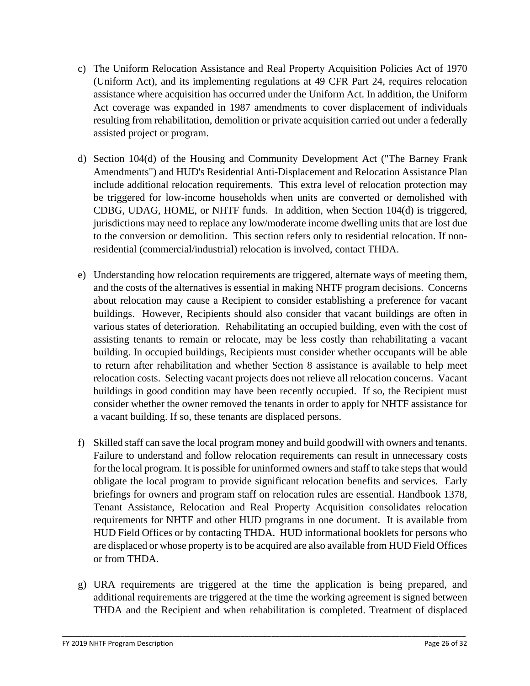- c) The Uniform Relocation Assistance and Real Property Acquisition Policies Act of 1970 (Uniform Act), and its implementing regulations at 49 CFR Part 24, requires relocation assistance where acquisition has occurred under the Uniform Act. In addition, the Uniform Act coverage was expanded in 1987 amendments to cover displacement of individuals resulting from rehabilitation, demolition or private acquisition carried out under a federally assisted project or program.
- d) Section 104(d) of the Housing and Community Development Act ("The Barney Frank Amendments") and HUD's Residential Anti-Displacement and Relocation Assistance Plan include additional relocation requirements. This extra level of relocation protection may be triggered for low-income households when units are converted or demolished with CDBG, UDAG, HOME, or NHTF funds. In addition, when Section 104(d) is triggered, jurisdictions may need to replace any low/moderate income dwelling units that are lost due to the conversion or demolition. This section refers only to residential relocation. If nonresidential (commercial/industrial) relocation is involved, contact THDA.
- e) Understanding how relocation requirements are triggered, alternate ways of meeting them, and the costs of the alternatives is essential in making NHTF program decisions. Concerns about relocation may cause a Recipient to consider establishing a preference for vacant buildings. However, Recipients should also consider that vacant buildings are often in various states of deterioration. Rehabilitating an occupied building, even with the cost of assisting tenants to remain or relocate, may be less costly than rehabilitating a vacant building. In occupied buildings, Recipients must consider whether occupants will be able to return after rehabilitation and whether Section 8 assistance is available to help meet relocation costs. Selecting vacant projects does not relieve all relocation concerns. Vacant buildings in good condition may have been recently occupied. If so, the Recipient must consider whether the owner removed the tenants in order to apply for NHTF assistance for a vacant building. If so, these tenants are displaced persons.
- f) Skilled staff can save the local program money and build goodwill with owners and tenants. Failure to understand and follow relocation requirements can result in unnecessary costs for the local program. It is possible for uninformed owners and staff to take steps that would obligate the local program to provide significant relocation benefits and services. Early briefings for owners and program staff on relocation rules are essential. Handbook 1378, Tenant Assistance, Relocation and Real Property Acquisition consolidates relocation requirements for NHTF and other HUD programs in one document. It is available from HUD Field Offices or by contacting THDA. HUD informational booklets for persons who are displaced or whose property is to be acquired are also available from HUD Field Offices or from THDA.
- g) URA requirements are triggered at the time the application is being prepared, and additional requirements are triggered at the time the working agreement is signed between THDA and the Recipient and when rehabilitation is completed. Treatment of displaced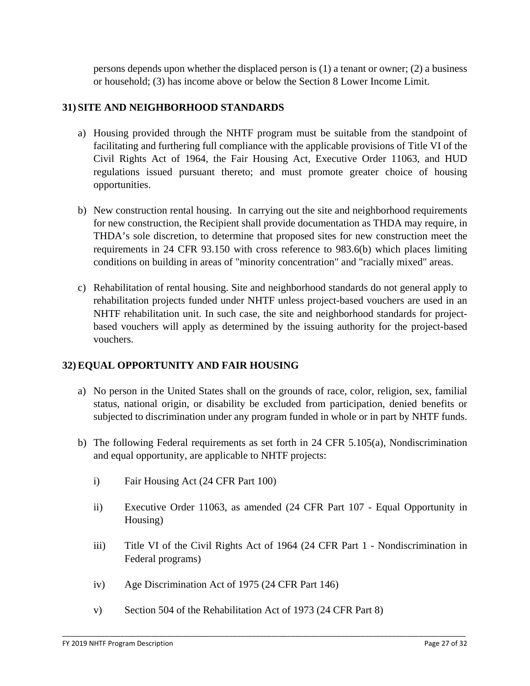persons depends upon whether the displaced person is (1) a tenant or owner; (2) a business or household; (3) has income above or below the Section 8 Lower Income Limit.

#### **31) SITE AND NEIGHBORHOOD STANDARDS**

- a) Housing provided through the NHTF program must be suitable from the standpoint of facilitating and furthering full compliance with the applicable provisions of Title VI of the Civil Rights Act of 1964, the Fair Housing Act, Executive Order 11063, and HUD regulations issued pursuant thereto; and must promote greater choice of housing opportunities.
- b) New construction rental housing. In carrying out the site and neighborhood requirements for new construction, the Recipient shall provide documentation as THDA may require, in THDA's sole discretion, to determine that proposed sites for new construction meet the requirements in 24 CFR 93.150 with cross reference to 983.6(b) which places limiting conditions on building in areas of "minority concentration" and "racially mixed" areas.
- c) Rehabilitation of rental housing. Site and neighborhood standards do not general apply to rehabilitation projects funded under NHTF unless project-based vouchers are used in an NHTF rehabilitation unit. In such case, the site and neighborhood standards for projectbased vouchers will apply as determined by the issuing authority for the project-based vouchers.

#### **32) EQUAL OPPORTUNITY AND FAIR HOUSING**

- a) No person in the United States shall on the grounds of race, color, religion, sex, familial status, national origin, or disability be excluded from participation, denied benefits or subjected to discrimination under any program funded in whole or in part by NHTF funds.
- b) The following Federal requirements as set forth in 24 CFR 5.105(a), Nondiscrimination and equal opportunity, are applicable to NHTF projects:
	- i) Fair Housing Act (24 CFR Part 100)
	- ii) Executive Order 11063, as amended (24 CFR Part 107 Equal Opportunity in Housing)
	- iii) Title VI of the Civil Rights Act of 1964 (24 CFR Part 1 Nondiscrimination in Federal programs)
	- iv) Age Discrimination Act of 1975 (24 CFR Part 146)
	- v) Section 504 of the Rehabilitation Act of 1973 (24 CFR Part 8)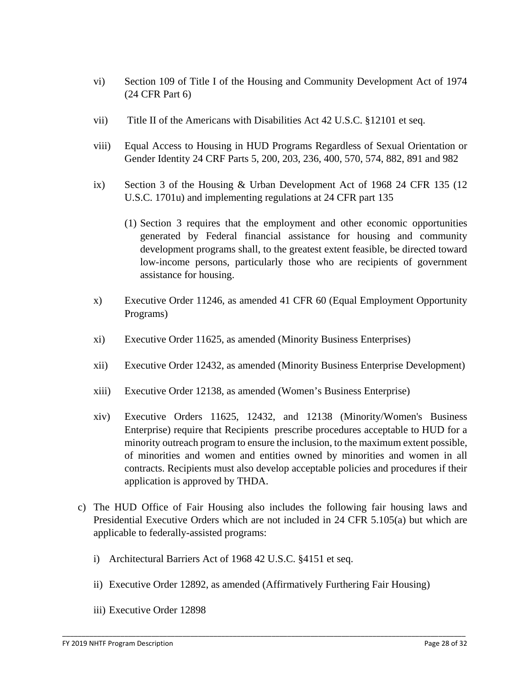- vi) Section 109 of Title I of the Housing and Community Development Act of 1974 (24 CFR Part 6)
- vii) Title II of the Americans with Disabilities Act 42 U.S.C. §12101 et seq.
- viii) Equal Access to Housing in HUD Programs Regardless of Sexual Orientation or Gender Identity 24 CRF Parts 5, 200, 203, 236, 400, 570, 574, 882, 891 and 982
- ix) Section 3 of the Housing & Urban Development Act of 1968 24 CFR 135 (12 U.S.C. 1701u) and implementing regulations at 24 CFR part 135
	- (1) Section 3 requires that the employment and other economic opportunities generated by Federal financial assistance for housing and community development programs shall, to the greatest extent feasible, be directed toward low-income persons, particularly those who are recipients of government assistance for housing.
- x) Executive Order 11246, as amended 41 CFR 60 (Equal Employment Opportunity Programs)
- xi) Executive Order 11625, as amended (Minority Business Enterprises)
- xii) Executive Order 12432, as amended (Minority Business Enterprise Development)
- xiii) Executive Order 12138, as amended (Women's Business Enterprise)
- xiv) Executive Orders 11625, 12432, and 12138 (Minority/Women's Business Enterprise) require that Recipients prescribe procedures acceptable to HUD for a minority outreach program to ensure the inclusion, to the maximum extent possible, of minorities and women and entities owned by minorities and women in all contracts. Recipients must also develop acceptable policies and procedures if their application is approved by THDA.
- c) The HUD Office of Fair Housing also includes the following fair housing laws and Presidential Executive Orders which are not included in 24 CFR 5.105(a) but which are applicable to federally-assisted programs:
	- i) Architectural Barriers Act of 1968 42 U.S.C. §4151 et seq.
	- ii) Executive Order 12892, as amended (Affirmatively Furthering Fair Housing)

\_\_\_\_\_\_\_\_\_\_\_\_\_\_\_\_\_\_\_\_\_\_\_\_\_\_\_\_\_\_\_\_\_\_\_\_\_\_\_\_\_\_\_\_\_\_\_\_\_\_\_\_\_\_\_\_\_\_\_\_\_\_\_\_\_\_\_\_\_\_\_\_\_\_\_\_\_\_\_\_\_\_\_\_\_\_\_\_\_\_\_\_\_\_\_\_\_\_\_\_\_\_\_\_

iii) Executive Order 12898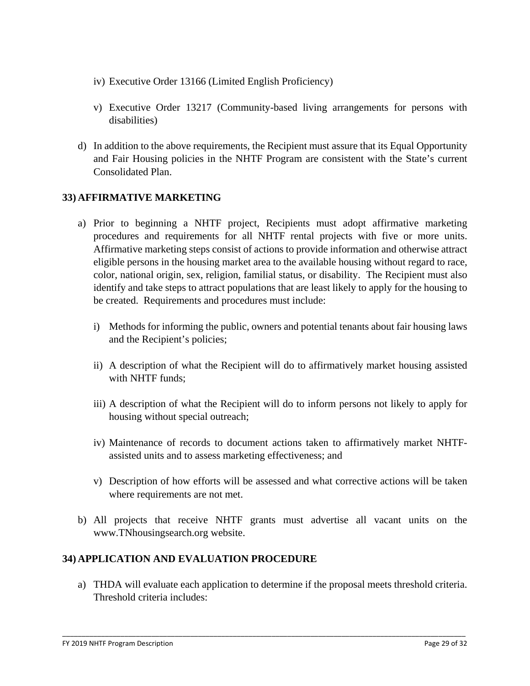- iv) Executive Order 13166 (Limited English Proficiency)
- v) Executive Order 13217 (Community-based living arrangements for persons with disabilities)
- d) In addition to the above requirements, the Recipient must assure that its Equal Opportunity and Fair Housing policies in the NHTF Program are consistent with the State's current Consolidated Plan.

### **33) AFFIRMATIVE MARKETING**

- a) Prior to beginning a NHTF project, Recipients must adopt affirmative marketing procedures and requirements for all NHTF rental projects with five or more units. Affirmative marketing steps consist of actions to provide information and otherwise attract eligible persons in the housing market area to the available housing without regard to race, color, national origin, sex, religion, familial status, or disability. The Recipient must also identify and take steps to attract populations that are least likely to apply for the housing to be created. Requirements and procedures must include:
	- i) Methods for informing the public, owners and potential tenants about fair housing laws and the Recipient's policies;
	- ii) A description of what the Recipient will do to affirmatively market housing assisted with NHTF funds;
	- iii) A description of what the Recipient will do to inform persons not likely to apply for housing without special outreach;
	- iv) Maintenance of records to document actions taken to affirmatively market NHTFassisted units and to assess marketing effectiveness; and
	- v) Description of how efforts will be assessed and what corrective actions will be taken where requirements are not met.
- b) All projects that receive NHTF grants must advertise all vacant units on the www.TNhousingsearch.org website.

#### **34) APPLICATION AND EVALUATION PROCEDURE**

a) THDA will evaluate each application to determine if the proposal meets threshold criteria. Threshold criteria includes: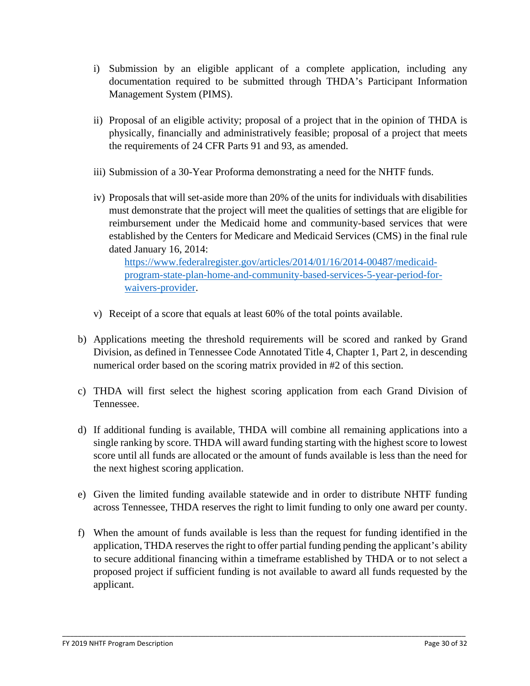- i) Submission by an eligible applicant of a complete application, including any documentation required to be submitted through THDA's Participant Information Management System (PIMS).
- ii) Proposal of an eligible activity; proposal of a project that in the opinion of THDA is physically, financially and administratively feasible; proposal of a project that meets the requirements of 24 CFR Parts 91 and 93, as amended.
- iii) Submission of a 30-Year Proforma demonstrating a need for the NHTF funds.
- iv) Proposals that will set-aside more than 20% of the units for individuals with disabilities must demonstrate that the project will meet the qualities of settings that are eligible for reimbursement under the Medicaid home and community-based services that were established by the Centers for Medicare and Medicaid Services (CMS) in the final rule dated January 16, 2014:

[https://www.federalregister.gov/articles/2014/01/16/2014-00487/medicaid](https://www.federalregister.gov/articles/2014/01/16/2014-00487/medicaid-program-state-plan-home-and-community-based-services-5-year-period-for-waivers-provider)[program-state-plan-home-and-community-based-services-5-year-period-for](https://www.federalregister.gov/articles/2014/01/16/2014-00487/medicaid-program-state-plan-home-and-community-based-services-5-year-period-for-waivers-provider)[waivers-provider.](https://www.federalregister.gov/articles/2014/01/16/2014-00487/medicaid-program-state-plan-home-and-community-based-services-5-year-period-for-waivers-provider)

- v) Receipt of a score that equals at least 60% of the total points available.
- b) Applications meeting the threshold requirements will be scored and ranked by Grand Division, as defined in Tennessee Code Annotated Title 4, Chapter 1, Part 2, in descending numerical order based on the scoring matrix provided in #2 of this section.
- c) THDA will first select the highest scoring application from each Grand Division of Tennessee.
- d) If additional funding is available, THDA will combine all remaining applications into a single ranking by score. THDA will award funding starting with the highest score to lowest score until all funds are allocated or the amount of funds available is less than the need for the next highest scoring application.
- e) Given the limited funding available statewide and in order to distribute NHTF funding across Tennessee, THDA reserves the right to limit funding to only one award per county.
- f) When the amount of funds available is less than the request for funding identified in the application, THDA reserves the right to offer partial funding pending the applicant's ability to secure additional financing within a timeframe established by THDA or to not select a proposed project if sufficient funding is not available to award all funds requested by the applicant.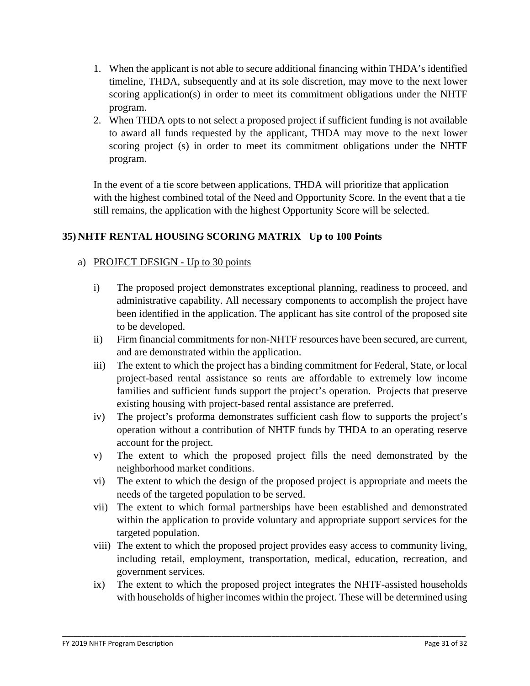- 1. When the applicant is not able to secure additional financing within THDA's identified timeline, THDA, subsequently and at its sole discretion, may move to the next lower scoring application(s) in order to meet its commitment obligations under the NHTF program.
- 2. When THDA opts to not select a proposed project if sufficient funding is not available to award all funds requested by the applicant, THDA may move to the next lower scoring project (s) in order to meet its commitment obligations under the NHTF program.

In the event of a tie score between applications, THDA will prioritize that application with the highest combined total of the Need and Opportunity Score. In the event that a tie still remains, the application with the highest Opportunity Score will be selected.

# **35) NHTF RENTAL HOUSING SCORING MATRIX Up to 100 Points**

### a) PROJECT DESIGN - Up to 30 points

- i) The proposed project demonstrates exceptional planning, readiness to proceed, and administrative capability. All necessary components to accomplish the project have been identified in the application. The applicant has site control of the proposed site to be developed.
- ii) Firm financial commitments for non-NHTF resources have been secured, are current, and are demonstrated within the application.
- iii) The extent to which the project has a binding commitment for Federal, State, or local project-based rental assistance so rents are affordable to extremely low income families and sufficient funds support the project's operation. Projects that preserve existing housing with project-based rental assistance are preferred.
- iv) The project's proforma demonstrates sufficient cash flow to supports the project's operation without a contribution of NHTF funds by THDA to an operating reserve account for the project.
- v) The extent to which the proposed project fills the need demonstrated by the neighborhood market conditions.
- vi) The extent to which the design of the proposed project is appropriate and meets the needs of the targeted population to be served.
- vii) The extent to which formal partnerships have been established and demonstrated within the application to provide voluntary and appropriate support services for the targeted population.
- viii) The extent to which the proposed project provides easy access to community living, including retail, employment, transportation, medical, education, recreation, and government services.
- ix) The extent to which the proposed project integrates the NHTF-assisted households with households of higher incomes within the project. These will be determined using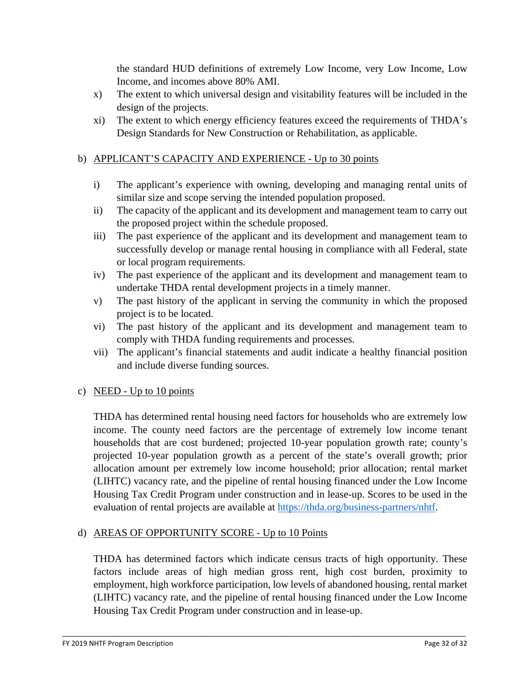the standard HUD definitions of extremely Low Income, very Low Income, Low Income, and incomes above 80% AMI.

- x) The extent to which universal design and visitability features will be included in the design of the projects.
- xi) The extent to which energy efficiency features exceed the requirements of THDA's Design Standards for New Construction or Rehabilitation, as applicable.

### b) APPLICANT'S CAPACITY AND EXPERIENCE - Up to 30 points

- i) The applicant's experience with owning, developing and managing rental units of similar size and scope serving the intended population proposed.
- ii) The capacity of the applicant and its development and management team to carry out the proposed project within the schedule proposed.
- iii) The past experience of the applicant and its development and management team to successfully develop or manage rental housing in compliance with all Federal, state or local program requirements.
- iv) The past experience of the applicant and its development and management team to undertake THDA rental development projects in a timely manner.
- v) The past history of the applicant in serving the community in which the proposed project is to be located.
- vi) The past history of the applicant and its development and management team to comply with THDA funding requirements and processes.
- vii) The applicant's financial statements and audit indicate a healthy financial position and include diverse funding sources.

#### c) NEED - Up to 10 points

THDA has determined rental housing need factors for households who are extremely low income. The county need factors are the percentage of extremely low income tenant households that are cost burdened; projected 10-year population growth rate; county's projected 10-year population growth as a percent of the state's overall growth; prior allocation amount per extremely low income household; prior allocation; rental market (LIHTC) vacancy rate, and the pipeline of rental housing financed under the Low Income Housing Tax Credit Program under construction and in lease-up. Scores to be used in the evaluation of rental projects are available at [https://thda.org/business-partners/nhtf.](https://thda.org/business-partners/nhtf)

# d) AREAS OF OPPORTUNITY SCORE - Up to 10 Points

THDA has determined factors which indicate census tracts of high opportunity. These factors include areas of high median gross rent, high cost burden, proximity to employment, high workforce participation, low levels of abandoned housing, rental market (LIHTC) vacancy rate, and the pipeline of rental housing financed under the Low Income Housing Tax Credit Program under construction and in lease-up.